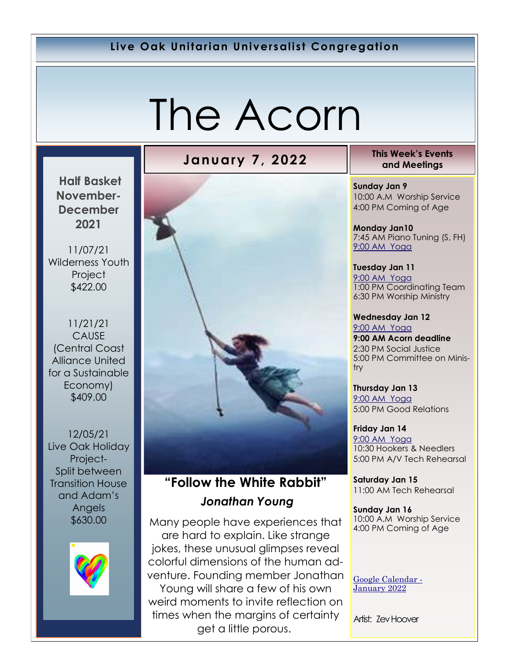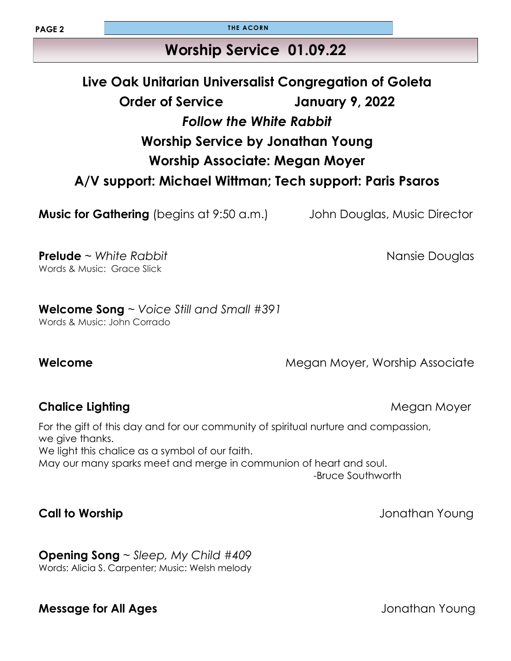**PAGE 2 THE ACORN** 

## **Worship Service 01.09.22**

# **Live Oak Unitarian Universalist Congregation of Goleta Order of Service January 9, 2022** *Follow the White Rabbit* **Worship Service by Jonathan Young Worship Associate: Megan Moyer A/V support: Michael Wittman; Tech support: Paris Psaros**

**Music for Gathering** (begins at 9:50 a.m.) John Douglas, Music Director

**Prelude** ~ *White Rabbit* Nansie Douglas Words & Music: Grace Slick

**Welcome Song** ~ *Voice Still and Small #391* Words & Music: John Corrado

**Welcome Megan Moyer, Worship Associate Megan Moyer**, Worship Associate

#### **Chalice Lighting Chalice Lighting and Chalice Lighting According Moyer According Moyer According Moyer According Moyer According Moyer According Moyer According Moyer According Moyer According Moyer According Motor Accord**

For the gift of this day and for our community of spiritual nurture and compassion, we give thanks. We light this chalice as a symbol of our faith. May our many sparks meet and merge in communion of heart and soul. -Bruce Southworth

### **Call to Worship Call to Worship Jonathan Young**

**Opening Song** ~ *Sleep, My Child #409* Words: Alicia S. Carpenter; Music: Welsh melody

#### **Message for All Ages** *All Ages* **Jonathan Young**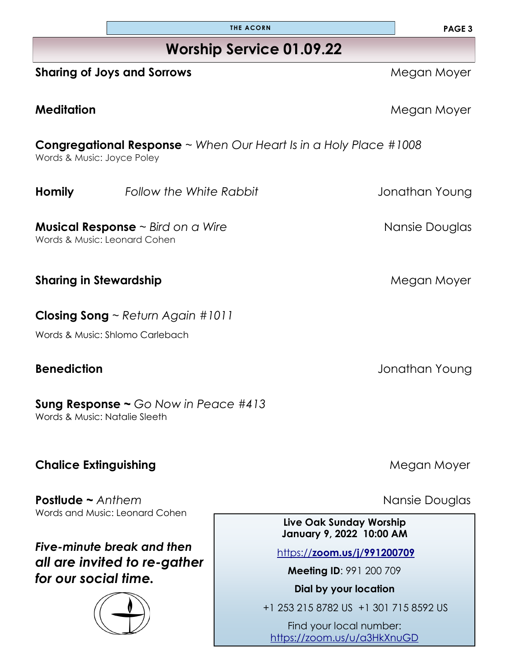| <b>Worship Service 01.09.22</b> |  |
|---------------------------------|--|
|                                 |  |

**THE ACORN**

### **Sharing of Joys and Sorrows and Sorrows and Sorrows and Sorrows and Sorrows and Sorrows and Moyer and Moyer and Moyer And Moyer and Moyer and Moyer and Moyer and Moyer and Moyer and Moyer and Moyer and Moyer and Moyer and**

### **Congregational Response** ~ *When Our Heart Is in a Holy Place #1008* Words & Music: Joyce Poley

**Musical Response** ~ *Bird on a Wire* Nansie Douglas

Words & Music: Leonard Cohen

**Sharing in Stewardship** *Megan Moyer* **Megan Moyer** 

**Closing Song** ~ *Return Again #1011*

Words & Music: Shlomo Carlebach

**Sung Response ~** *Go Now in Peace #413* Words & Music: Natalie Sleeth

## **Chalice Extinguishing Chalice Extinguishing**

**Postlude ~** *Anthem* Nansie Douglas Words and Music: Leonard Cohen

## *Five-minute break and then all are invited to re-gather for our social time.*



**Meditation Megan Moyer** 

**Homily** *Follow the White Rabbit Pollow the White Rabbit Pollogy <i>Jonathan Young* 

**Benediction** Jonathan Young

#### **Live Oak Sunday Worship January 9, 2022 10:00 AM**

https://**[zoom.us/j/991200709](https://zoom.us/j/991200709)**

**Meeting ID**: 991 200 709

**Dial by your location** 

+1 253 215 8782 US +1 301 715 8592 US

Find your local number: <https://zoom.us/u/a3HkXnuGD>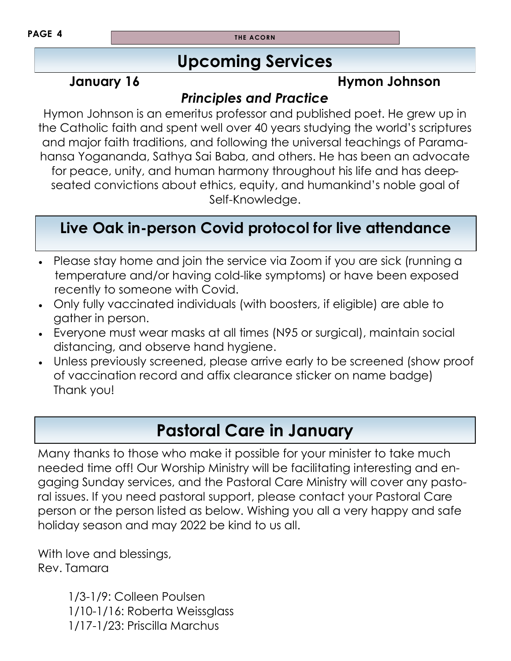**PAGE 4 THE ACORN** 

## **Upcoming Services**

## **January 16 Hymon Johnson**

## *Principles and Practice*

Hymon Johnson is an emeritus professor and published poet. He grew up in the Catholic faith and spent well over 40 years studying the world's scriptures and major faith traditions, and following the universal teachings of Paramahansa Yogananda, Sathya Sai Baba, and others. He has been an advocate for peace, unity, and human harmony throughout his life and has deepseated convictions about ethics, equity, and humankind's noble goal of Self-Knowledge.

# **Live Oak in-person Covid protocol for live attendance**

- Please stay home and join the service via Zoom if you are sick (running a temperature and/or having cold-like symptoms) or have been exposed recently to someone with Covid.
- Only fully vaccinated individuals (with boosters, if eligible) are able to gather in person.
- Everyone must wear masks at all times (N95 or surgical), maintain social distancing, and observe hand hygiene.
- Unless previously screened, please arrive early to be screened (show proof of vaccination record and affix clearance sticker on name badge) Thank you!

# **Pastoral Care in January**

Many thanks to those who make it possible for your minister to take much needed time off! Our Worship Ministry will be facilitating interesting and engaging Sunday services, and the Pastoral Care Ministry will cover any pastoral issues. If you need pastoral support, please contact your Pastoral Care person or the person listed as below. Wishing you all a very happy and safe holiday season and may 2022 be kind to us all.

With love and blessings, Rev. Tamara

> 1/3-1/9: Colleen Poulsen 1/10-1/16: Roberta Weissglass 1/17-1/23: Priscilla Marchus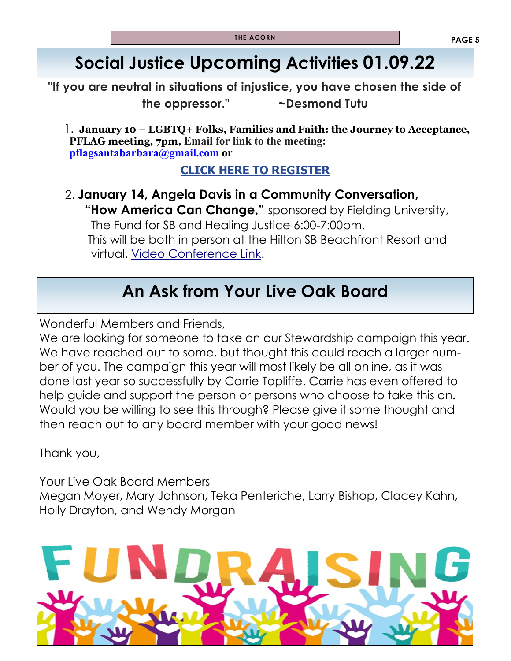# **Social Justice Upcoming Activities 01.09.22**

**"If you are neutral in situations of injustice, you have chosen the side of the oppressor." ~Desmond Tutu**

 1. **January 10 – LGBTQ+ Folks, Families and Faith: the Journey to Acceptance, PFLAG meeting, 7pm, Email for link to the meeting: [pflagsantabarbara@gmail.com o](mailto:pflagsantabarbara@gmail.com)r** 

#### **[CLICK HERE TO REGISTER](https://r20.rs6.net/tn.jsp?f=001BqiWg5cZMg9NgIjsAivyt1aO7o4d1NSNdf7IVfdOnOiiq1lMfAr1w0uo_dbya_qcRM0IRcy1JMTKhTAXnd-l65ffp0Otm-K-BXWs-TVhRG7TnB585uTfUmK_4pxXd4dK4DaXWkJvOUcY6dXfr_fxJ6dzMdA-pj3H&c=v7wfiJp4-K_CKxPRtxWlkrqzuKgBIM_U4UETX5WKPxiEoay9e77Y-A==&ch=zfrz)**

 2. **January 14, Angela Davis in a Community Conversation, "How America Can Change,"** sponsored by Fielding University, The Fund for SB and Healing Justice 6:00-7:00pm. This will be both in person at the Hilton SB Beachfront Resort and virtual. [Video Conference Link.](https://www.youtube.com/c/FieldingEdu) 

# **An Ask from Your Live Oak Board**

Wonderful Members and Friends,

We are looking for someone to take on our Stewardship campaign this year. We have reached out to some, but thought this could reach a larger number of you. The campaign this year will most likely be all online, as it was done last year so successfully by Carrie Topliffe. Carrie has even offered to help guide and support the person or persons who choose to take this on. Would you be willing to see this through? Please give it some thought and then reach out to any board member with your good news!

Thank you,

Your Live Oak Board Members Megan Moyer, Mary Johnson, Teka Penteriche, Larry Bishop, Clacey Kahn, Holly Drayton, and Wendy Morgan

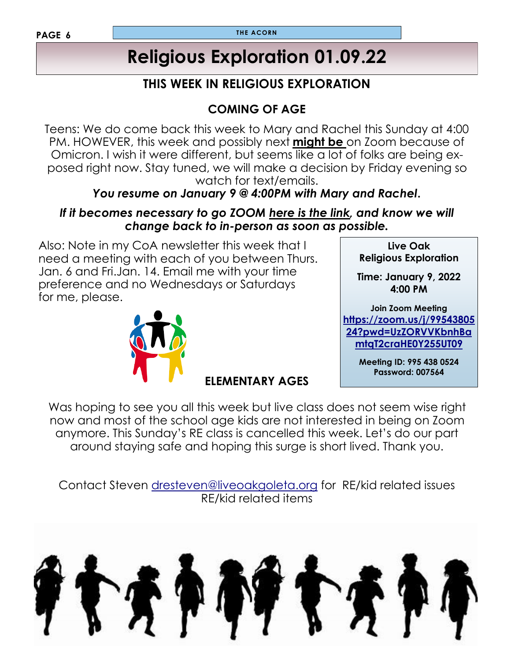#### **PAGE 6**

# **Religious Exploration 01.09.22**

### **THIS WEEK IN RELIGIOUS EXPLORATION**

## **COMING OF AGE**

Teens: We do come back this week to Mary and Rachel this Sunday at 4:00 PM. HOWEVER, this week and possibly next **might be** on Zoom because of Omicron. I wish it were different, but seems like a lot of folks are being exposed right now. Stay tuned, we will make a decision by Friday evening so watch for text/emails.

### *You resume on January 9 @ 4:00PM with Mary and Rachel***.**

#### *If it becomes necessary to go ZOOM here is the link, and know we will change back to in-person as soon as possible.*

Also: Note in my CoA newsletter this week that I need a meeting with each of you between Thurs. Jan. 6 and Fri.Jan. 14. Email me with your time preference and no Wednesdays or Saturdays for me, please.



**ELEMENTARY AGES**

**Live Oak Religious Exploration Time: January 9, 2022 4:00 PM** 

**Join Zoom Meeting [https://zoom.us/j/99543805](https://zoom.us/j/9954380524?pwd=UzZORVVKbnhBamtqT2craHE0Y255UT09) [24?pwd=UzZORVVKbnhBa](https://zoom.us/j/9954380524?pwd=UzZORVVKbnhBamtqT2craHE0Y255UT09) [mtqT2craHE0Y255UT09](https://zoom.us/j/9954380524?pwd=UzZORVVKbnhBamtqT2craHE0Y255UT09)**

> **Meeting ID: 995 438 0524 Password: 007564**

Was hoping to see you all this week but live class does not seem wise right now and most of the school age kids are not interested in being on Zoom anymore. This Sunday's RE class is cancelled this week. Let's do our part around staying safe and hoping this surge is short lived. Thank you.

Contact Steven [dresteven@liveoakgoleta.org](mailto:dresteven@liveoakgoleta.org) for RE/kid related issues RE/kid related items

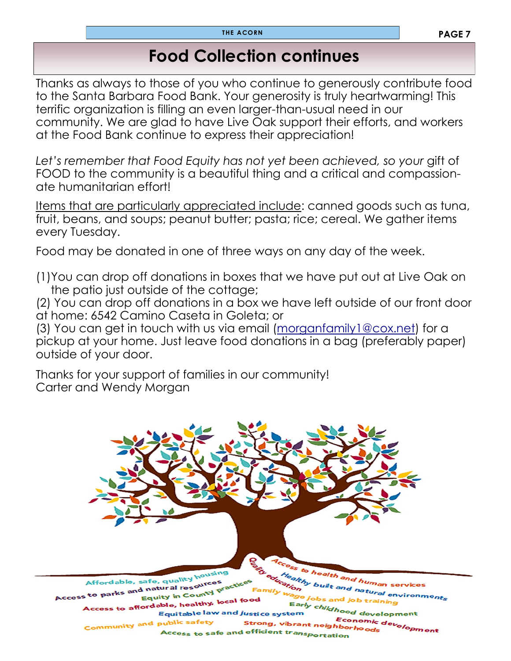## **Food Collection continues**

Thanks as always to those of you who continue to generously contribute food to the Santa Barbara Food Bank. Your generosity is truly heartwarming! This terrific organization is filling an even larger-than-usual need in our community. We are glad to have Live Oak support their efforts, and workers at the Food Bank continue to express their appreciation!

Let's remember that Food Equity has not yet been achieved, so your gift of FOOD to the community is a beautiful thing and a critical and compassionate humanitarian effort!

Items that are particularly appreciated include: canned goods such as tuna, fruit, beans, and soups; peanut butter; pasta; rice; cereal. We gather items every Tuesday.

Food may be donated in one of three ways on any day of the week.

(1)You can drop off donations in boxes that we have put out at Live Oak on the patio just outside of the cottage;

(2) You can drop off donations in a box we have left outside of our front door at home: 6542 Camino Caseta in Goleta; or

(3) You can get in touch with us via email ([morganfamily1@cox.net\)](mailto:morganfamily1@cox.net) for a pickup at your home. Just leave food donations in a bag (preferably paper) outside of your door.

Thanks for your support of families in our community! Carter and Wendy Morgan

Affordable, safe, quality housing <sup>and</sup> human services<br><sup>Ind</sup> hat... Affordable, safe, quality in counter<br>Access to parks and natural resources<br>Equity in County P built and natural services<br>obs and natural environments d natural resources<br>Equity in County pract Equity in County<br>Access to affordable, healthy, local food<br>Faultable law and *lues*: Early childhood development<br>tem *childhood development* Equitable law and justice system "ood development<br>Economic development<br>"<sup>hbor</sup>hoods Community and public safety **Strong, vibrant neighborhoods**<br>efficient trans Access to safe and efficient transportation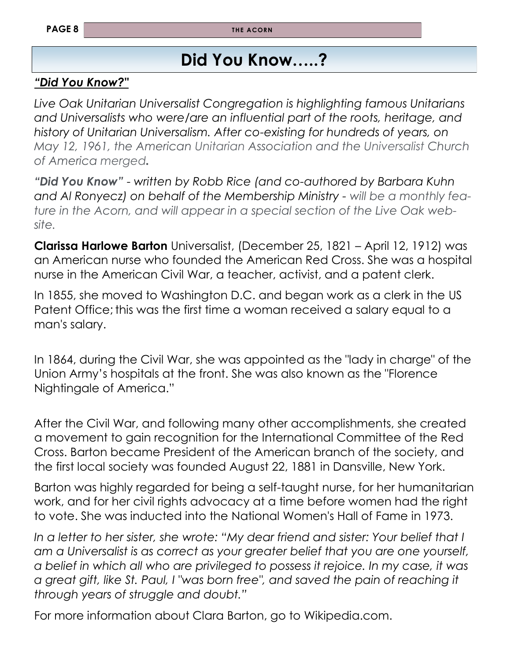# **Did You Know…..?**

### *"Did You Know?"*

*Live Oak Unitarian Universalist Congregation is highlighting famous Unitarians and Universalists who were/are an influential part of the roots, heritage, and history of Unitarian Universalism. After co-existing for hundreds of years, on May 12, 1961, the American Unitarian Association and the Universalist Church of America merged.* 

*"Did You Know"* - *written by Robb Rice (and co-authored by Barbara Kuhn and Al Ronyecz) on behalf of the Membership Ministry - will be a monthly feature in the Acorn, and will appear in a special section of the Live Oak website.*

**Clarissa Harlowe Barton** Universalist, (December 25, 1821 – April 12, 1912) was an American nurse who founded the [American Red Cross.](https://en.wikipedia.org/wiki/American_Red_Cross) She was a hospital nurse in the [American Civil War,](https://en.wikipedia.org/wiki/American_Civil_War) a teacher, activist, and a [patent clerk.](https://en.wikipedia.org/wiki/Patent_clerk) 

In 1855, she moved to Washington D.C. and began work as a clerk in the [US](https://en.wikipedia.org/wiki/US_Patent_Office)  [Patent Office;](https://en.wikipedia.org/wiki/US_Patent_Office) this was the first time a woman received a salary equal to a man's salary.

In 1864, during the Civil War, she was appointed as the "lady in charge" of the Union Army's hospitals at the front. She was also known as the "[Florence](https://en.wikipedia.org/wiki/Florence_Nightingale)  [Nightingale](https://en.wikipedia.org/wiki/Florence_Nightingale) of America."

After the Civil War, and following many other accomplishments, she created a movement to gain recognition for the International Committee of the Red Cross. Barton became President of the American branch of the society, and the first local society was founded August 22, 1881 in Dansville, New York.

Barton was highly regarded for being a self-taught nurse, for her humanitarian work, and for her civil rights advocacy at a time before women had the right to vote. She was inducted into the [National Women's Hall of Fame](https://en.wikipedia.org/wiki/National_Women%27s_Hall_of_Fame) in 1973.

In a letter to her sister, she wrote: "My dear friend and sister: Your belief that I *am a Universalist is as correct as your greater belief that you are one yourself, a belief in which all who are privileged to possess it rejoice. In my case, it was a great gift, like St. Paul, I "was born free", and saved the pain of reaching it through years of struggle and doubt."* 

For more information about Clara Barton, go to Wikipedia.com.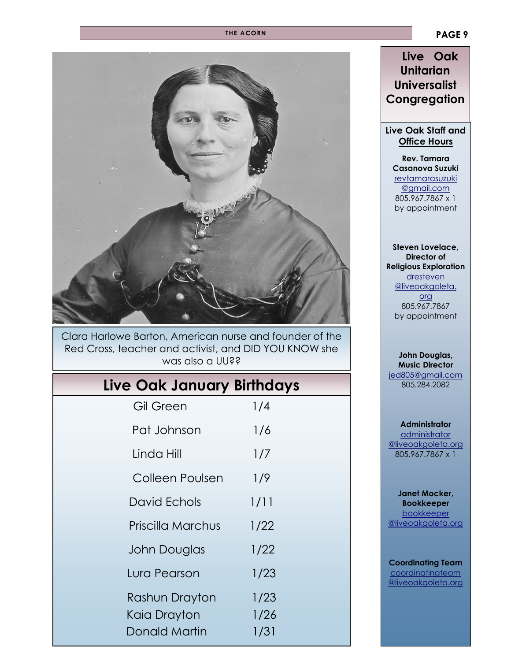#### **THE ACORN**



#### Clara Harlowe Barton, American nurse and founder of the Red Cross, teacher and activist, and DID YOU KNOW she was also a UU??

## **Live Oak January Birthdays**

| <b>Gil Green</b>    | 1/4  |  |
|---------------------|------|--|
| Pat Johnson         | 1/6  |  |
| Linda Hill          | 1/7  |  |
| Colleen Poulsen     | 1/9  |  |
| David Echols        | 1/11 |  |
| Priscilla Marchus   | 1/22 |  |
| <b>John Douglas</b> | 1/22 |  |
| Lura Pearson        | 1/23 |  |
| Rashun Drayton      | 1/23 |  |
| Kaia Drayton        | 1/26 |  |
| Donald Martin       | 1/31 |  |

#### **Live Oak Unitarian Universalist Congregation**

#### **Live Oak Staff and Office Hours**

**Rev. Tamara Casanova Suzuki** [revtamarasuzuki](mailto:revtamarasuzuki@gmail.com)  [@gmail.com](mailto:revtamarasuzuki@gmail.com)  805.967.7867 x 1 by appointment

**Steven Lovelace, Director of Religious Exploration** [dresteven](mailto:dresteven@liveoakgoleta.org) [@liveoakgoleta.](mailto:dresteven@liveoakgoleta.org) [org](mailto:dresteven@liveoakgoleta.org) 805.967.7867 by appointment

#### **John Douglas, Music Director** [jed805@gmail.com](mailto:jed805@gmail.com) 805.284.2082

**Administrator** [administrator](mailto:administrator@liveoakgoleta.org)  [@liveoakgoleta.org](mailto:administrator@liveoakgoleta.org) 805.967.7867 x 1

**Janet Mocker, Bookkeeper** [bookkeeper](mailto:sbsurj@gmail.com)  [@liveoakgoleta.org](mailto:sbsurj@gmail.com)

#### **Coordinating Team coordinatingteam** [@liveoakgoleta.org](mailto:coordinatingteam@liveoakgoleta.org)